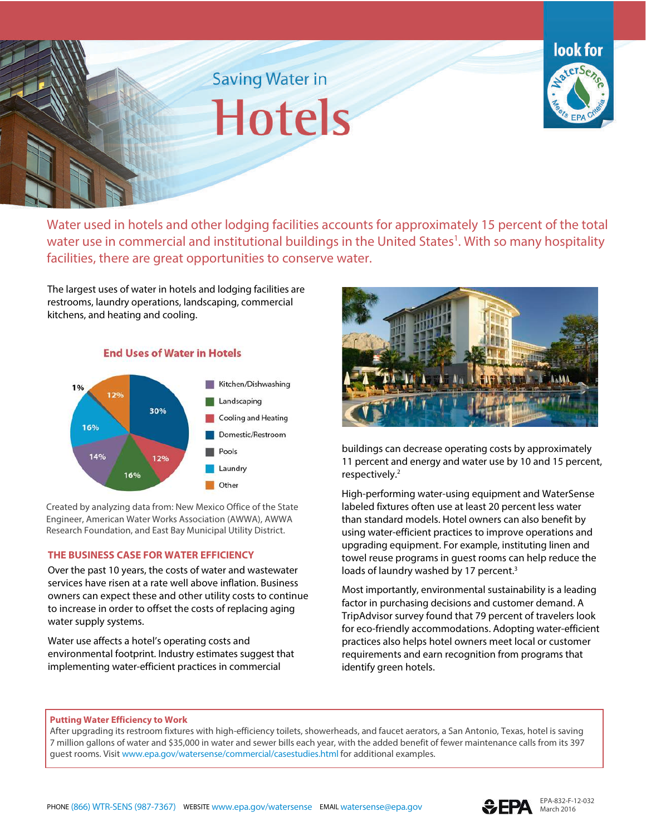



 Water used in hotels and other lodging facilities accounts for approximately 15 percent of the total water use in commercial and institutional buildings in the United States<sup>1</sup>. With so many hospitality facilities, there are great opportunities to conserve water.

 kitchens, and heating and cooling. The largest uses of water in hotels and lodging facilities are restrooms, laundry operations, landscaping, commercial



 Created by analyzing data from: New Mexico Office of the State Engineer, American Water Works Association (AWWA), AWWA Research Foundation, and East Bay Municipal Utility District.

### **THE BUSINESS CASE FOR WATER EFFICIENCY**

 owners can expect these and other utility costs to continue Over the past 10 years, the costs of water and wastewater services have risen at a rate well above inflation. Business to increase in order to offset the costs of replacing aging water supply systems.

 Water use affects a hotel's operating costs and .<br>, implementing water-efficient practices in commercial environmental footprint. Industry estimates suggest that



 buildings can decrease operating costs by approximately 11 percent and energy and water use by 10 and 15 percent, respectively. 2

 High-performing water-using equipment and WaterSense than standard models. Hotel owners can also benefit by using water-efficient practices to improve operations and upgrading equipment. For example, instituting linen and loads of laundry washed by 17 percent.<sup>3</sup> labeled fixtures often use at least 20 percent less water towel reuse programs in guest rooms can help reduce the

 Most importantly, environmental sustainability is a leading factor in purchasing decisions and customer demand. A practices also helps hotel owners meet local or customer requirements and earn recognition from programs that TripAdvisor survey found that 79 percent of travelers look for eco-friendly accommodations. Adopting water-efficient identify green hotels.

# **Putting Water Efficiency to Work**

 After upgrading its restroom fixtures with high-efficiency toilets, showerheads, and faucet aerators, a San Antonio, Texas, hotel is saving 7 million gallons of water and \$35,000 in water and sewer bills each year, with the added benefit of fewer maintenance calls from its 397 guest rooms. Visit www.epa.gov/watersense/commercial/casestudies.html for additional examples.



j